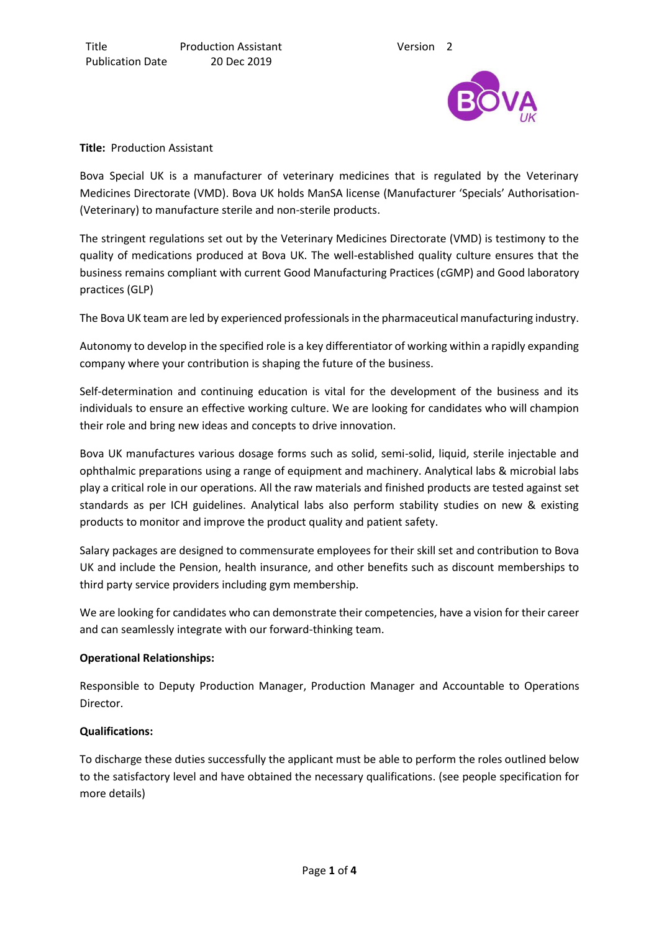

#### **Title:** Production Assistant

Bova Special UK is a manufacturer of veterinary medicines that is regulated by the Veterinary Medicines Directorate (VMD). Bova UK holds ManSA license (Manufacturer 'Specials' Authorisation- (Veterinary) to manufacture sterile and non-sterile products.

The stringent regulations set out by the Veterinary Medicines Directorate (VMD) is testimony to the quality of medications produced at Bova UK. The well-established quality culture ensures that the business remains compliant with current Good Manufacturing Practices (cGMP) and Good laboratory practices (GLP)

The Bova UK team are led by experienced professionals in the pharmaceutical manufacturing industry.

Autonomy to develop in the specified role is a key differentiator of working within a rapidly expanding company where your contribution is shaping the future of the business.

Self-determination and continuing education is vital for the development of the business and its individuals to ensure an effective working culture. We are looking for candidates who will champion their role and bring new ideas and concepts to drive innovation.

Bova UK manufactures various dosage forms such as solid, semi-solid, liquid, sterile injectable and ophthalmic preparations using a range of equipment and machinery. Analytical labs & microbial labs play a critical role in our operations. All the raw materials and finished products are tested against set standards as per ICH guidelines. Analytical labs also perform stability studies on new & existing products to monitor and improve the product quality and patient safety.

Salary packages are designed to commensurate employees for their skill set and contribution to Bova UK and include the Pension, health insurance, and other benefits such as discount memberships to third party service providers including gym membership.

We are looking for candidates who can demonstrate their competencies, have a vision for their career and can seamlessly integrate with our forward-thinking team.

## **Operational Relationships:**

Responsible to Deputy Production Manager, Production Manager and Accountable to Operations Director.

## **Qualifications:**

To discharge these duties successfully the applicant must be able to perform the roles outlined below to the satisfactory level and have obtained the necessary qualifications. (see people specification for more details)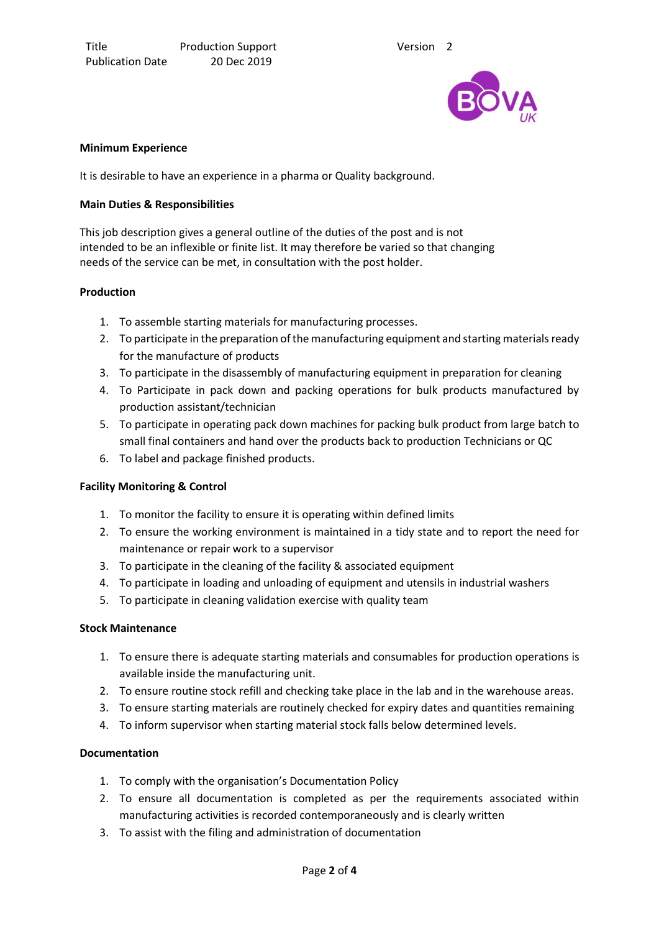

#### **Minimum Experience**

It is desirable to have an experience in a pharma or Quality background.

#### **Main Duties & Responsibilities**

This job description gives a general outline of the duties of the post and is not intended to be an inflexible or finite list. It may therefore be varied so that changing needs of the service can be met, in consultation with the post holder.

#### **Production**

- 1. To assemble starting materials for manufacturing processes.
- 2. To participate in the preparation of the manufacturing equipment and starting materials ready for the manufacture of products
- 3. To participate in the disassembly of manufacturing equipment in preparation for cleaning
- 4. To Participate in pack down and packing operations for bulk products manufactured by production assistant/technician
- 5. To participate in operating pack down machines for packing bulk product from large batch to small final containers and hand over the products back to production Technicians or QC
- 6. To label and package finished products.

## **Facility Monitoring & Control**

- 1. To monitor the facility to ensure it is operating within defined limits
- 2. To ensure the working environment is maintained in a tidy state and to report the need for maintenance or repair work to a supervisor
- 3. To participate in the cleaning of the facility & associated equipment
- 4. To participate in loading and unloading of equipment and utensils in industrial washers
- 5. To participate in cleaning validation exercise with quality team

## **Stock Maintenance**

- 1. To ensure there is adequate starting materials and consumables for production operations is available inside the manufacturing unit.
- 2. To ensure routine stock refill and checking take place in the lab and in the warehouse areas.
- 3. To ensure starting materials are routinely checked for expiry dates and quantities remaining
- 4. To inform supervisor when starting material stock falls below determined levels.

## **Documentation**

- 1. To comply with the organisation's Documentation Policy
- 2. To ensure all documentation is completed as per the requirements associated within manufacturing activities is recorded contemporaneously and is clearly written
- 3. To assist with the filing and administration of documentation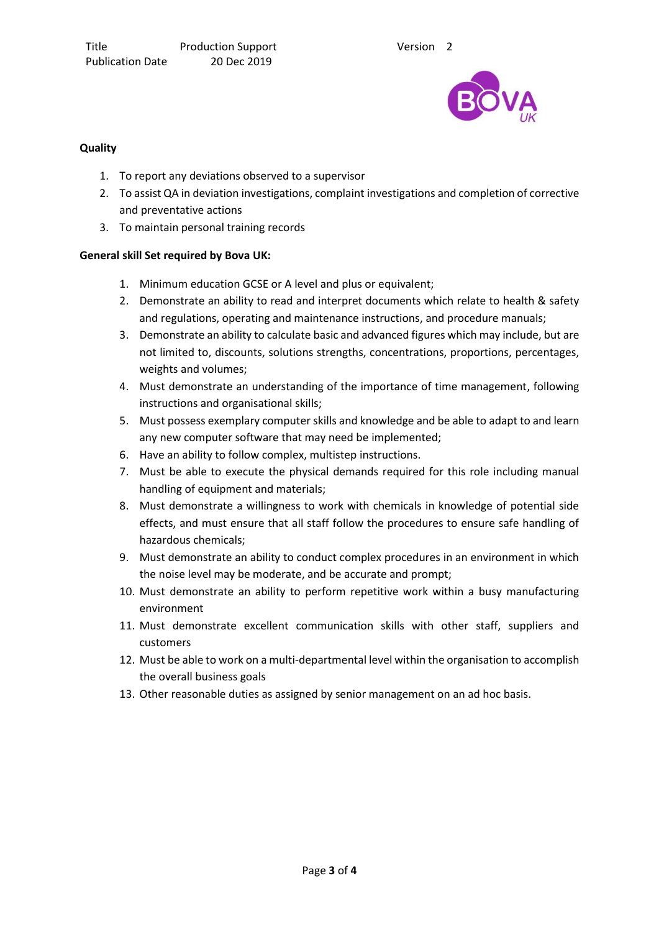

## **Quality**

- 1. To report any deviations observed to a supervisor
- 2. To assist QA in deviation investigations, complaint investigations and completion of corrective and preventative actions
- 3. To maintain personal training records

## **General skill Set required by Bova UK:**

- 1. Minimum education GCSE or A level and plus or equivalent;
- 2. Demonstrate an ability to read and interpret documents which relate to health & safety and regulations, operating and maintenance instructions, and procedure manuals;
- 3. Demonstrate an ability to calculate basic and advanced figures which may include, but are not limited to, discounts, solutions strengths, concentrations, proportions, percentages, weights and volumes;
- 4. Must demonstrate an understanding of the importance of time management, following instructions and organisational skills;
- 5. Must possess exemplary computer skills and knowledge and be able to adapt to and learn any new computer software that may need be implemented;
- 6. Have an ability to follow complex, multistep instructions.
- 7. Must be able to execute the physical demands required for this role including manual handling of equipment and materials;
- 8. Must demonstrate a willingness to work with chemicals in knowledge of potential side effects, and must ensure that all staff follow the procedures to ensure safe handling of hazardous chemicals;
- 9. Must demonstrate an ability to conduct complex procedures in an environment in which the noise level may be moderate, and be accurate and prompt;
- 10. Must demonstrate an ability to perform repetitive work within a busy manufacturing environment
- 11. Must demonstrate excellent communication skills with other staff, suppliers and customers
- 12. Must be able to work on a multi-departmental level within the organisation to accomplish the overall business goals
- 13. Other reasonable duties as assigned by senior management on an ad hoc basis.